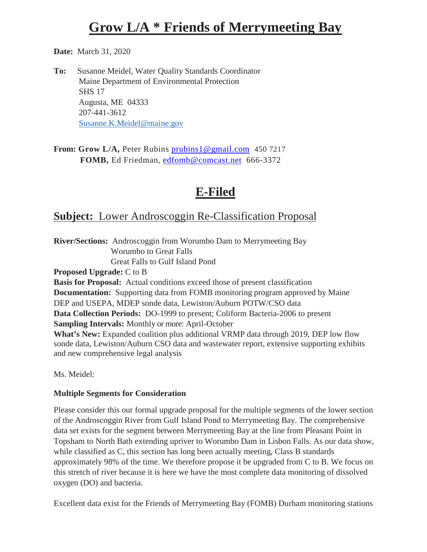# **Grow L/A \* Friends of Merrymeeting Bay**

**Date:** March 31, 2020

**To:** Susanne Meidel, Water Quality Standards Coordinator Maine Department of Environmental Protection SHS 17 Augusta, ME 04333 207-441-3612 [Susanne.K.Meidel@maine.gov](mailto:Susanne.K.Meidel@maine.gov)

**From: Grow L/A,** Peter Rubins [prubins1@gmail.com](mailto:prubins1@gmail.com)450 7217 **FOMB,** Ed Friedman, [edfomb@comcast.net](mailto:edfomb@comcast.net)666-3372

# **E-Filed**

## **Subject:** Lower Androscoggin Re-Classification Proposal

**River/Sections:** Androscoggin from Worumbo Dam to Merrymeeting Bay Worumbo to Great Falls Great Falls to Gulf Island Pond **Proposed Upgrade:** C to B

**Basis for Proposal:** Actual conditions exceed those of present classification **Documentation:** Supporting data from FOMB monitoring program approved by Maine DEP and USEPA, MDEP sonde data, Lewiston/Auburn POTW/CSO data **Data Collection Periods:** DO-1999 to present; Coliform Bacteria-2006 to present **Sampling Intervals:** Monthly or more: April-October **What's New:** Expanded coalition plus additional VRMP data through 2019, DEP low flow sonde data, Lewiston/Auburn CSO data and wastewater report, extensive supporting exhibits and new comprehensive legal analysis

Ms. Meidel:

#### **Multiple Segments for Consideration**

Please consider this our formal upgrade proposal for the multiple segments of the lower section of the Androscoggin River from Gulf Island Pond to Merrymeeting Bay. The comprehensive data set exists for the segment between Merrymeeting Bay at the line from Pleasant Point in Topsham to North Bath extending upriver to Worumbo Dam in Lisbon Falls. As our data show, while classified as C, this section has long been actually meeting, Class B standards approximately 98% of the time. We therefore propose it be upgraded from C to B. We focus on this stretch of river because it is here we have the most complete data monitoring of dissolved oxygen (DO) and bacteria.

Excellent data exist for the Friends of Merrymeeting Bay (FOMB) Durham monitoring stations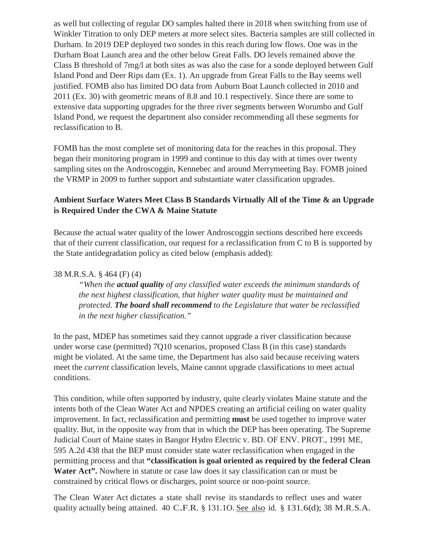as well but collecting of regular DO samples halted there in 2018 when switching from use of Winkler Titration to only DEP meters at more select sites. Bacteria samples are still collected in Durham. In 2019 DEP deployed two sondes in this reach during low flows. One was in the Durham Boat Launch area and the other below Great Falls. DO levels remained above the Class B threshold of 7mg/l at both sites as was also the case for a sonde deployed between Gulf Island Pond and Deer Rips dam (Ex. 1). An upgrade from Great Falls to the Bay seems well justified. FOMB also has limited DO data from Auburn Boat Launch collected in 2010 and 2011 (Ex. 30) with geometric means of 8.8 and 10.1 respectively. Since there are some to extensive data supporting upgrades for the three river segments between Worumbo and Gulf Island Pond, we request the department also consider recommending all these segments for reclassification to B.

FOMB has the most complete set of monitoring data for the reaches in this proposal. They began their monitoring program in 1999 and continue to this day with at times over twenty sampling sites on the Androscoggin, Kennebec and around Merrymeeting Bay. FOMB joined the VRMP in 2009 to further support and substantiate water classification upgrades.

#### **Ambient Surface Waters Meet Class B Standards Virtually All of the Time & an Upgrade is Required Under the CWA & Maine Statute**

Because the actual water quality of the lower Androscoggin sections described here exceeds that of their current classification, our request for a reclassification from C to B is supported by the State antidegradation policy as cited below (emphasis added):

#### 38 M.R.S.A. § 464 (F) (4)

*"When the actual quality of any classified water exceeds the minimum standards of the next highest classification, that higher water quality must be maintained and protected. The board shall recommend to the Legislature that water be reclassified in the next higher classification."*

In the past, MDEP has sometimes said they cannot upgrade a river classification because under worse case (permitted) 7Q10 scenarios, proposed Class B (in this case) standards might be violated. At the same time, the Department has also said because receiving waters meet the *current* classification levels, Maine cannot upgrade classifications to meet actual conditions.

This condition, while often supported by industry, quite clearly violates Maine statute and the intents both of the Clean Water Act and NPDES creating an artificial ceiling on water quality improvement. In fact, reclassification and permitting **must** be used together to improve water quality. But, in the opposite way from that in which the DEP has been operating. The Supreme Judicial Court of Maine states in Bangor Hydro Electric v. BD. OF ENV. PROT., 1991 ME, 595 A.2d 438 that the BEP must consider state water reclassification when engaged in the permitting process and that **"classification is goal oriented as required by the federal Clean**  Water Act". Nowhere in statute or case law does it say classification can or must be constrained by critical flows or discharges, point source or non-point source.

The Clean Water Act dictates a state shall revise its standards to reflect uses and water quality actually being attained. <sup>40</sup> C.F.R. § 131.1O. See also id. § 131.6(d); <sup>38</sup> M.R.S.A.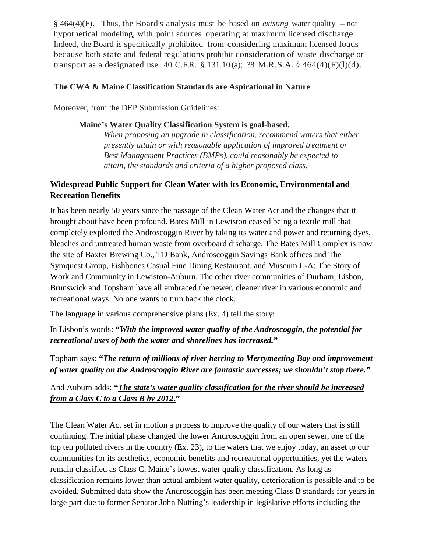$§$  464(4)(F). Thus, the Board's analysis must be based on *existing* water quality  $-$  not hypothetical modeling, with point sources operating at maximum licensed discharge. Indeed, the Board is specifically prohibited from considering maximum licensed loads because both state and federal regulations prohibit consideration of waste discharge or transport as a designated use. 40 C.F.R.  $\S 131.10(a)$ ; 38 M.R.S.A.  $\S 464(4)(F)(l)(d)$ .

#### **The CWA & Maine Classification Standards are Aspirational in Nature**

Moreover, from the DEP Submission Guidelines:

#### **Maine's Water Quality Classification System is goal-based.**

*When proposing an upgrade in classification, recommend waters that either presently attain or with reasonable application of improved treatment or Best Management Practices (BMPs), could reasonably be expected to attain, the standards and criteria of a higher proposed class.*

### **Widespread Public Support for Clean Water with its Economic, Environmental and Recreation Benefits**

It has been nearly 50 years since the passage of the Clean Water Act and the changes that it brought about have been profound. Bates Mill in Lewiston ceased being a textile mill that completely exploited the Androscoggin River by taking its water and power and returning dyes, bleaches and untreated human waste from overboard discharge. The Bates Mill Complex is now the site of Baxter Brewing Co., TD Bank, Androscoggin Savings Bank offices and The Symquest Group, Fishbones Casual Fine Dining Restaurant, and Museum L-A: The Story of Work and Community in Lewiston-Auburn. The other river communities of Durham, Lisbon, Brunswick and Topsham have all embraced the newer, cleaner river in various economic and recreational ways. No one wants to turn back the clock.

The language in various comprehensive plans (Ex. 4) tell the story:

In Lisbon's words: **"***With the improved water quality of the Androscoggin, the potential for recreational uses of both the water and shorelines has increased."*

Topham says: **"***The return of millions of river herring to Merrymeeting Bay and improvement of water quality on the Androscoggin River are fantastic successes; we shouldn't stop there."*

### And Auburn adds: **"***The state's water quality classification for the river should be increased from a Class C to a Class B by 2012***."**

The Clean Water Act set in motion a process to improve the quality of our waters that is still continuing. The initial phase changed the lower Androscoggin from an open sewer, one of the top ten polluted rivers in the country (Ex. 23), to the waters that we enjoy today, an asset to our communities for its aesthetics, economic benefits and recreational opportunities, yet the waters remain classified as Class C, Maine's lowest water quality classification. As long as classification remains lower than actual ambient water quality, deterioration is possible and to be avoided. Submitted data show the Androscoggin has been meeting Class B standards for years in large part due to former Senator John Nutting's leadership in legislative efforts including the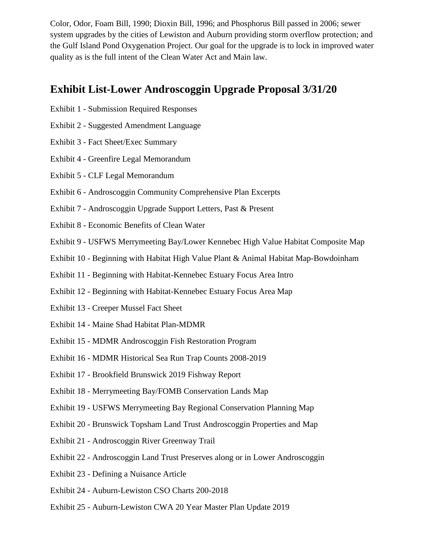Color, Odor, Foam Bill, 1990; Dioxin Bill, 1996; and Phosphorus Bill passed in 2006; sewer system upgrades by the cities of Lewiston and Auburn providing storm overflow protection; and the Gulf Island Pond Oxygenation Project. Our goal for the upgrade is to lock in improved water quality as is the full intent of the Clean Water Act and Main law.

## **Exhibit List-Lower Androscoggin Upgrade Proposal 3/31/20**

- Exhibit 1 Submission Required Responses
- Exhibit 2 Suggested Amendment Language
- Exhibit 3 Fact Sheet/Exec Summary
- Exhibit 4 Greenfire Legal Memorandum
- Exhibit 5 CLF Legal Memorandum
- Exhibit 6 Androscoggin Community Comprehensive Plan Excerpts
- Exhibit 7 Androscoggin Upgrade Support Letters, Past & Present
- Exhibit 8 Economic Benefits of Clean Water
- Exhibit 9 USFWS Merrymeeting Bay/Lower Kennebec High Value Habitat Composite Map
- Exhibit 10 Beginning with Habitat High Value Plant & Animal Habitat Map-Bowdoinham
- Exhibit 11 Beginning with Habitat-Kennebec Estuary Focus Area Intro
- Exhibit 12 Beginning with Habitat-Kennebec Estuary Focus Area Map
- Exhibit 13 Creeper Mussel Fact Sheet
- Exhibit 14 Maine Shad Habitat Plan-MDMR
- Exhibit 15 MDMR Androscoggin Fish Restoration Program
- Exhibit 16 MDMR Historical Sea Run Trap Counts 2008-2019
- Exhibit 17 Brookfield Brunswick 2019 Fishway Report
- Exhibit 18 Merrymeeting Bay/FOMB Conservation Lands Map
- Exhibit 19 USFWS Merrymeeting Bay Regional Conservation Planning Map
- Exhibit 20 Brunswick Topsham Land Trust Androscoggin Properties and Map
- Exhibit 21 Androscoggin River Greenway Trail
- Exhibit 22 Androscoggin Land Trust Preserves along or in Lower Androscoggin
- Exhibit 23 Defining a Nuisance Article
- Exhibit 24 Auburn-Lewiston CSO Charts 200-2018
- Exhibit 25 Auburn-Lewiston CWA 20 Year Master Plan Update 2019